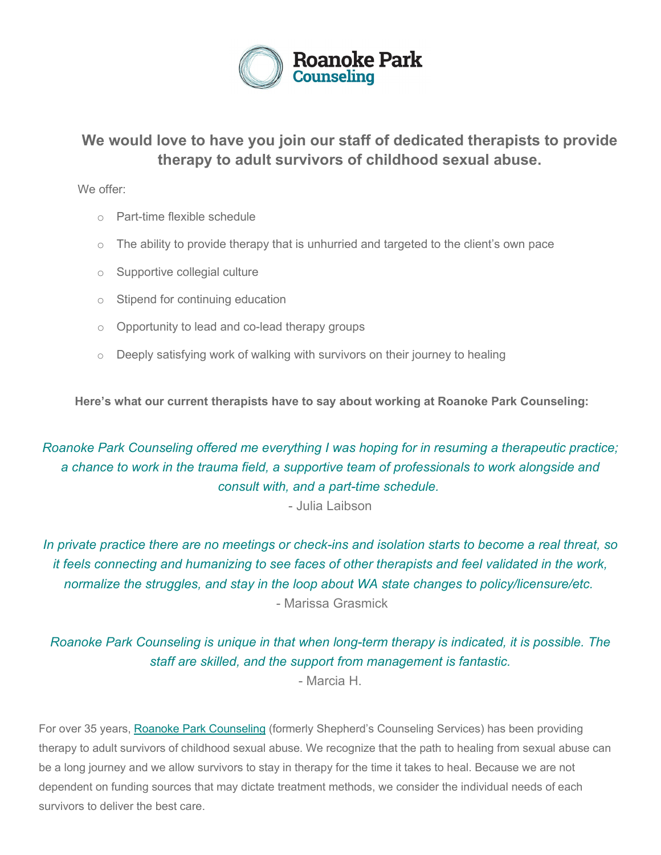

## **We would love to have you join our staff of dedicated therapists to provide therapy to adult survivors of childhood sexual abuse.**

We offer:

- o Part-time flexible schedule
- $\circ$  The ability to provide therapy that is unhurried and targeted to the client's own pace
- o Supportive collegial culture
- o Stipend for continuing education
- o Opportunity to lead and co-lead therapy groups
- o Deeply satisfying work of walking with survivors on their journey to healing

**Here's what our current therapists have to say about working at Roanoke Park Counseling:**

*Roanoke Park Counseling offered me everything I was hoping for in resuming a therapeutic practice; a chance to work in the trauma field, a supportive team of professionals to work alongside and consult with, and a part-time schedule.*

- Julia Laibson

*In private practice there are no meetings or check-ins and isolation starts to become a real threat, so it feels connecting and humanizing to see faces of other therapists and feel validated in the work, normalize the struggles, and stay in the loop about WA state changes to policy/licensure/etc.* - Marissa Grasmick

*Roanoke Park Counseling is unique in that when long-term therapy is indicated, it is possible. The staff are skilled, and the support from management is fantastic.*

- Marcia H.

For over 35 years, [Roanoke Park Counseling](https://roanokeparkcounseling.us1.list-manage.com/track/click?u=b6b0131ca617681bd527d0e69&id=752e694a6d&e=b6ba8bf8eb) (formerly Shepherd's Counseling Services) has been providing therapy to adult survivors of childhood sexual abuse. We recognize that the path to healing from sexual abuse can be a long journey and we allow survivors to stay in therapy for the time it takes to heal. Because we are not dependent on funding sources that may dictate treatment methods, we consider the individual needs of each survivors to deliver the best care.